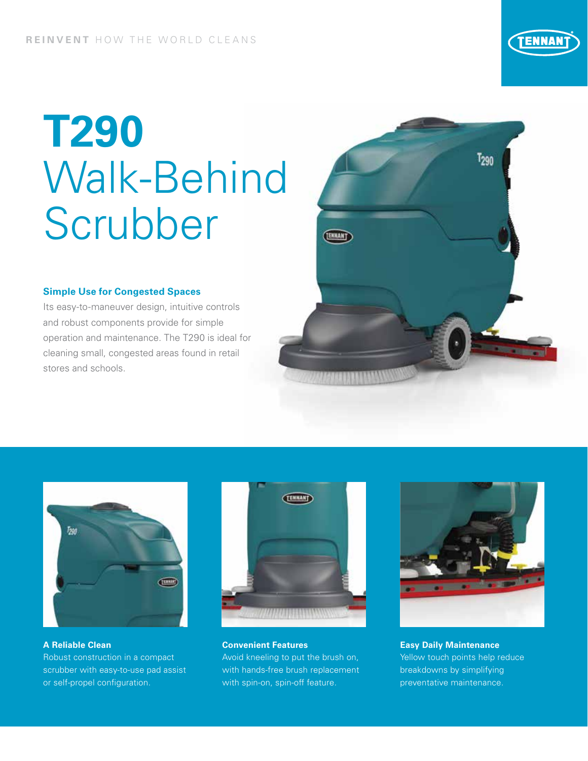# **T290** Walk-Behind Scrubber

#### **Simple Use for Congested Spaces**

Its easy-to-maneuver design, intuitive controls and robust components provide for simple operation and maintenance. The T290 is ideal for cleaning small, congested areas found in retail stores and schools.





**A Reliable Clean**  Robust construction in a compact scrubber with easy-to-use pad assist or self-propel configuration.



**Convenient Features**  Avoid kneeling to put the brush on, with hands-free brush replacement with spin-on, spin-off feature.



**Easy Daily Maintenance** Yellow touch points help reduce breakdowns by simplifying preventative maintenance.